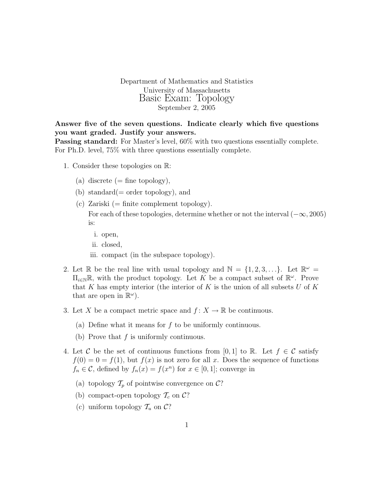Department of Mathematics and Statistics University of Massachusetts Basic Exam: Topology September 2, 2005

Answer five of the seven questions. Indicate clearly which five questions you want graded. Justify your answers.

**Passing standard:** For Master's level, 60% with two questions essentially complete. For Ph.D. level, 75% with three questions essentially complete.

- 1. Consider these topologies on R:
	- (a) discrete  $(=$  fine topology),
	- (b) standard( $=$  order topology), and
	- (c) Zariski  $(=$  finite complement topology). For each of these topologies, determine whether or not the interval  $(-\infty, 2005)$ is:
		- i. open,
		- ii. closed,
		- iii. compact (in the subspace topology).
- 2. Let R be the real line with usual topology and  $\mathbb{N} = \{1, 2, 3, ...\}$ . Let  $\mathbb{R}^{\omega} =$  $\Pi_{i\in\mathbb{N}}\mathbb{R}$ , with the product topology. Let K be a compact subset of  $\mathbb{R}^{\omega}$ . Prove that K has empty interior (the interior of K is the union of all subsets U of K that are open in  $\mathbb{R}^{\omega}$ ).
- 3. Let X be a compact metric space and  $f: X \to \mathbb{R}$  be continuous.
	- (a) Define what it means for  $f$  to be uniformly continuous.
	- (b) Prove that  $f$  is uniformly continuous.
- 4. Let C be the set of continuous functions from [0, 1] to R. Let  $f \in \mathcal{C}$  satisfy  $f(0) = 0 = f(1)$ , but  $f(x)$  is not zero for all x. Does the sequence of functions  $f_n \in \mathcal{C}$ , defined by  $f_n(x) = f(x^n)$  for  $x \in [0,1]$ ; converge in
	- (a) topology  $\mathcal{T}_p$  of pointwise convergence on  $\mathcal{C}$ ?
	- (b) compact-open topology  $\mathcal{T}_c$  on  $\mathcal{C}$ ?
	- (c) uniform topology  $\mathcal{T}_u$  on  $\mathcal{C}$ ?